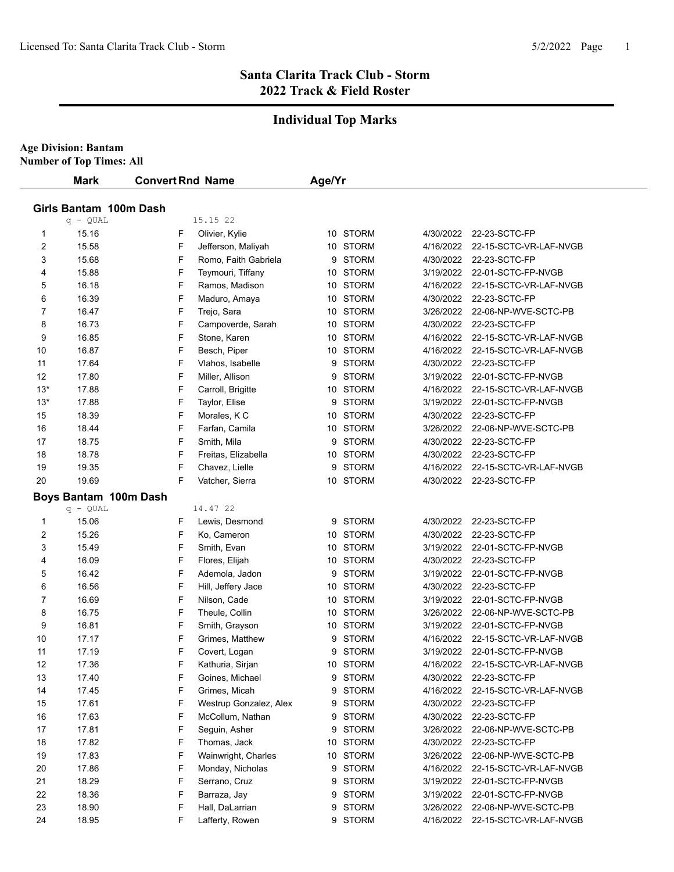# **Santa Clarita Track Club - Storm 2022 Track & Field Roster**

# **Individual Top Marks**

| <b>Age Division: Bantam</b> |
|-----------------------------|
|-----------------------------|

**Number of Top Times: All**

|                | <b>Mark</b>            | <b>Convert Rnd Name</b> |                        | Age/Yr |          |           |                                  |  |
|----------------|------------------------|-------------------------|------------------------|--------|----------|-----------|----------------------------------|--|
|                | Girls Bantam 100m Dash |                         |                        |        |          |           |                                  |  |
|                | $q - QUAL$             |                         | 15.15 22               |        |          |           |                                  |  |
| 1              | 15.16                  | F                       | Olivier, Kylie         |        | 10 STORM | 4/30/2022 | 22-23-SCTC-FP                    |  |
| $\overline{c}$ | 15.58                  | F                       | Jefferson, Maliyah     |        | 10 STORM | 4/16/2022 | 22-15-SCTC-VR-LAF-NVGB           |  |
| 3              | 15.68                  | F                       | Romo, Faith Gabriela   |        | 9 STORM  | 4/30/2022 | 22-23-SCTC-FP                    |  |
| 4              | 15.88                  | F                       | Teymouri, Tiffany      |        | 10 STORM | 3/19/2022 | 22-01-SCTC-FP-NVGB               |  |
| 5              | 16.18                  | F                       | Ramos, Madison         |        | 10 STORM | 4/16/2022 | 22-15-SCTC-VR-LAF-NVGB           |  |
| 6              | 16.39                  | F                       | Maduro, Amaya          |        | 10 STORM | 4/30/2022 | 22-23-SCTC-FP                    |  |
| 7              | 16.47                  | F                       | Trejo, Sara            |        | 10 STORM | 3/26/2022 | 22-06-NP-WVE-SCTC-PB             |  |
| 8              | 16.73                  | F                       | Campoverde, Sarah      |        | 10 STORM | 4/30/2022 | 22-23-SCTC-FP                    |  |
| 9              | 16.85                  | F                       | Stone, Karen           |        | 10 STORM | 4/16/2022 | 22-15-SCTC-VR-LAF-NVGB           |  |
| 10             | 16.87                  | F                       | Besch, Piper           |        | 10 STORM | 4/16/2022 | 22-15-SCTC-VR-LAF-NVGB           |  |
| 11             | 17.64                  | F                       | Vlahos, Isabelle       |        | 9 STORM  | 4/30/2022 | 22-23-SCTC-FP                    |  |
| 12             | 17.80                  | F                       | Miller, Allison        |        | 9 STORM  | 3/19/2022 | 22-01-SCTC-FP-NVGB               |  |
| $13*$          | 17.88                  | F                       | Carroll, Brigitte      |        | 10 STORM | 4/16/2022 | 22-15-SCTC-VR-LAF-NVGB           |  |
| $13*$          | 17.88                  | F                       | Taylor, Elise          |        | 9 STORM  | 3/19/2022 | 22-01-SCTC-FP-NVGB               |  |
| 15             | 18.39                  | F                       | Morales, K C           |        | 10 STORM | 4/30/2022 | 22-23-SCTC-FP                    |  |
| 16             | 18.44                  | F                       | Farfan, Camila         |        | 10 STORM | 3/26/2022 | 22-06-NP-WVE-SCTC-PB             |  |
| 17             | 18.75                  | F                       | Smith, Mila            |        | 9 STORM  | 4/30/2022 | 22-23-SCTC-FP                    |  |
| 18             | 18.78                  | F                       | Freitas, Elizabella    |        | 10 STORM | 4/30/2022 | 22-23-SCTC-FP                    |  |
| 19             | 19.35                  | F                       | Chavez, Lielle         |        | 9 STORM  | 4/16/2022 | 22-15-SCTC-VR-LAF-NVGB           |  |
| 20             | 19.69                  | F                       | Vatcher, Sierra        |        | 10 STORM |           | 4/30/2022 22-23-SCTC-FP          |  |
|                | Boys Bantam 100m Dash  |                         |                        |        |          |           |                                  |  |
|                | $q - QUAL$             |                         | 14.47 22               |        |          |           |                                  |  |
| $\mathbf 1$    | 15.06                  | F                       | Lewis, Desmond         |        | 9 STORM  | 4/30/2022 | 22-23-SCTC-FP                    |  |
| 2              | 15.26                  | F                       | Ko, Cameron            |        | 10 STORM | 4/30/2022 | 22-23-SCTC-FP                    |  |
| 3              | 15.49                  | F                       | Smith, Evan            |        | 10 STORM | 3/19/2022 | 22-01-SCTC-FP-NVGB               |  |
| 4              | 16.09                  | F                       | Flores, Elijah         |        | 10 STORM | 4/30/2022 | 22-23-SCTC-FP                    |  |
| 5              | 16.42                  | F                       | Ademola, Jadon         |        | 9 STORM  | 3/19/2022 | 22-01-SCTC-FP-NVGB               |  |
| 6              | 16.56                  | F                       | Hill, Jeffery Jace     |        | 10 STORM | 4/30/2022 | 22-23-SCTC-FP                    |  |
| 7              | 16.69                  | F                       | Nilson, Cade           |        | 10 STORM | 3/19/2022 | 22-01-SCTC-FP-NVGB               |  |
| 8              | 16.75                  | F                       | Theule, Collin         |        | 10 STORM | 3/26/2022 | 22-06-NP-WVE-SCTC-PB             |  |
| 9              | 16.81                  | F                       | Smith, Grayson         |        | 10 STORM | 3/19/2022 | 22-01-SCTC-FP-NVGB               |  |
| 10             | 17.17                  | F                       | Grimes, Matthew        |        | 9 STORM  | 4/16/2022 | 22-15-SCTC-VR-LAF-NVGB           |  |
| 11             | 17.19                  | F                       | Covert, Logan          |        | 9 STORM  | 3/19/2022 | 22-01-SCTC-FP-NVGB               |  |
| 12             | 17.36                  | F                       | Kathuria, Sirjan       |        | 10 STORM | 4/16/2022 | 22-15-SCTC-VR-LAF-NVGB           |  |
| 13             | 17.40                  | F                       | Goines, Michael        |        | 9 STORM  | 4/30/2022 | 22-23-SCTC-FP                    |  |
| 14             | 17.45                  | F                       | Grimes, Micah          |        | 9 STORM  | 4/16/2022 | 22-15-SCTC-VR-LAF-NVGB           |  |
| 15             | 17.61                  | F                       | Westrup Gonzalez, Alex |        | 9 STORM  | 4/30/2022 | 22-23-SCTC-FP                    |  |
| 16             | 17.63                  | F                       | McCollum, Nathan       |        | 9 STORM  | 4/30/2022 | 22-23-SCTC-FP                    |  |
| 17             | 17.81                  | F                       | Seguin, Asher          |        | 9 STORM  | 3/26/2022 | 22-06-NP-WVE-SCTC-PB             |  |
| 18             | 17.82                  | F                       | Thomas, Jack           |        | 10 STORM | 4/30/2022 | 22-23-SCTC-FP                    |  |
| 19             | 17.83                  | F                       | Wainwright, Charles    |        | 10 STORM | 3/26/2022 | 22-06-NP-WVE-SCTC-PB             |  |
| 20             | 17.86                  | F                       | Monday, Nicholas       |        | 9 STORM  | 4/16/2022 | 22-15-SCTC-VR-LAF-NVGB           |  |
| 21             | 18.29                  | F                       | Serrano, Cruz          |        | 9 STORM  | 3/19/2022 | 22-01-SCTC-FP-NVGB               |  |
| 22             | 18.36                  | F                       | Barraza, Jay           |        | 9 STORM  | 3/19/2022 | 22-01-SCTC-FP-NVGB               |  |
| 23             | 18.90                  | F                       | Hall, DaLarrian        |        | 9 STORM  | 3/26/2022 | 22-06-NP-WVE-SCTC-PB             |  |
| 24             | 18.95                  | F                       | Lafferty, Rowen        |        | 9 STORM  |           | 4/16/2022 22-15-SCTC-VR-LAF-NVGB |  |